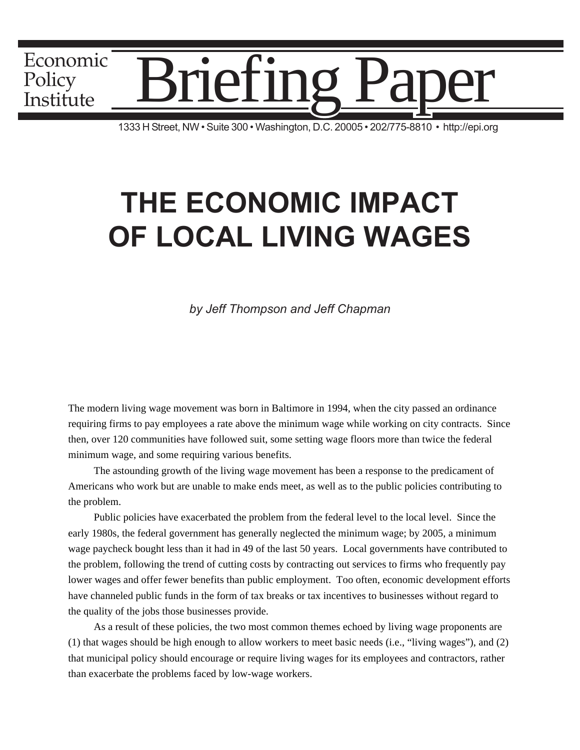

1333 H Street, NW • Suite 300 • Washington, D.C. 20005 • 202/775-8810 • http://epi.org

# **THE ECONOMIC IMPACT OF LOCAL LIVING WAGES**

*by Jeff Thompson and Jeff Chapman*

The modern living wage movement was born in Baltimore in 1994, when the city passed an ordinance requiring firms to pay employees a rate above the minimum wage while working on city contracts. Since then, over 120 communities have followed suit, some setting wage floors more than twice the federal minimum wage, and some requiring various benefits.

The astounding growth of the living wage movement has been a response to the predicament of Americans who work but are unable to make ends meet, as well as to the public policies contributing to the problem.

Public policies have exacerbated the problem from the federal level to the local level. Since the early 1980s, the federal government has generally neglected the minimum wage; by 2005, a minimum wage paycheck bought less than it had in 49 of the last 50 years. Local governments have contributed to the problem, following the trend of cutting costs by contracting out services to firms who frequently pay lower wages and offer fewer benefits than public employment. Too often, economic development efforts have channeled public funds in the form of tax breaks or tax incentives to businesses without regard to the quality of the jobs those businesses provide.

As a result of these policies, the two most common themes echoed by living wage proponents are (1) that wages should be high enough to allow workers to meet basic needs (i.e., "living wages"), and (2) that municipal policy should encourage or require living wages for its employees and contractors, rather than exacerbate the problems faced by low-wage workers.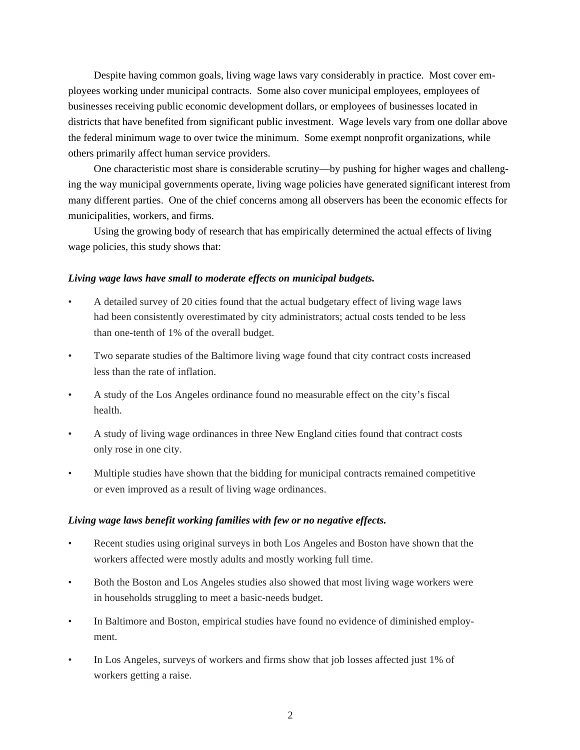Despite having common goals, living wage laws vary considerably in practice. Most cover employees working under municipal contracts. Some also cover municipal employees, employees of businesses receiving public economic development dollars, or employees of businesses located in districts that have benefited from significant public investment. Wage levels vary from one dollar above the federal minimum wage to over twice the minimum. Some exempt nonprofit organizations, while others primarily affect human service providers.

One characteristic most share is considerable scrutiny—by pushing for higher wages and challenging the way municipal governments operate, living wage policies have generated significant interest from many different parties. One of the chief concerns among all observers has been the economic effects for municipalities, workers, and firms.

Using the growing body of research that has empirically determined the actual effects of living wage policies, this study shows that:

#### *Living wage laws have small to moderate effects on municipal budgets.*

- A detailed survey of 20 cities found that the actual budgetary effect of living wage laws had been consistently overestimated by city administrators; actual costs tended to be less than one-tenth of 1% of the overall budget.
- Two separate studies of the Baltimore living wage found that city contract costs increased less than the rate of inflation.
- A study of the Los Angeles ordinance found no measurable effect on the city's fiscal health.
- A study of living wage ordinances in three New England cities found that contract costs only rose in one city.
- Multiple studies have shown that the bidding for municipal contracts remained competitive or even improved as a result of living wage ordinances.

#### *Living wage laws benefit working families with few or no negative effects.*

- Recent studies using original surveys in both Los Angeles and Boston have shown that the workers affected were mostly adults and mostly working full time.
- Both the Boston and Los Angeles studies also showed that most living wage workers were in households struggling to meet a basic-needs budget.
- In Baltimore and Boston, empirical studies have found no evidence of diminished employment.
- In Los Angeles, surveys of workers and firms show that job losses affected just 1% of workers getting a raise.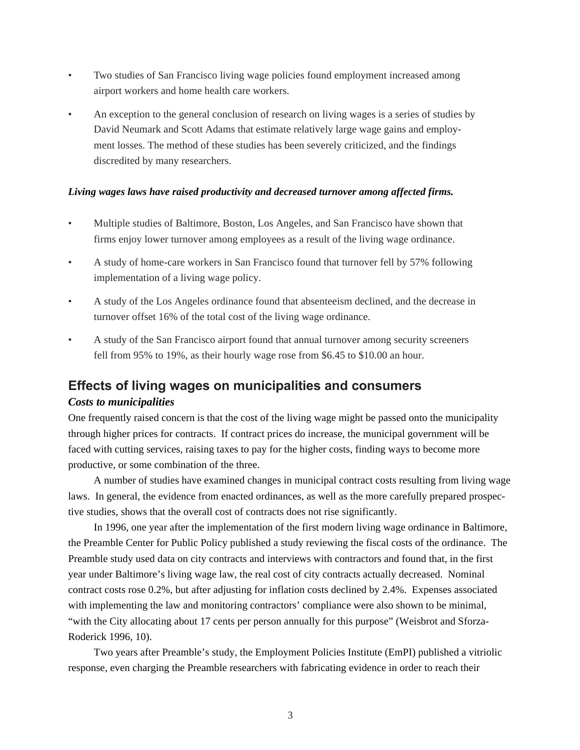- Two studies of San Francisco living wage policies found employment increased among airport workers and home health care workers.
- An exception to the general conclusion of research on living wages is a series of studies by David Neumark and Scott Adams that estimate relatively large wage gains and employment losses. The method of these studies has been severely criticized, and the findings discredited by many researchers.

#### *Living wages laws have raised productivity and decreased turnover among affected firms.*

- Multiple studies of Baltimore, Boston, Los Angeles, and San Francisco have shown that firms enjoy lower turnover among employees as a result of the living wage ordinance.
- A study of home-care workers in San Francisco found that turnover fell by 57% following implementation of a living wage policy.
- A study of the Los Angeles ordinance found that absenteeism declined, and the decrease in turnover offset 16% of the total cost of the living wage ordinance.
- A study of the San Francisco airport found that annual turnover among security screeners fell from 95% to 19%, as their hourly wage rose from \$6.45 to \$10.00 an hour.

# **Effects of living wages on municipalities and consumers**

#### *Costs to municipalities*

One frequently raised concern is that the cost of the living wage might be passed onto the municipality through higher prices for contracts. If contract prices do increase, the municipal government will be faced with cutting services, raising taxes to pay for the higher costs, finding ways to become more productive, or some combination of the three.

A number of studies have examined changes in municipal contract costs resulting from living wage laws. In general, the evidence from enacted ordinances, as well as the more carefully prepared prospective studies, shows that the overall cost of contracts does not rise significantly.

In 1996, one year after the implementation of the first modern living wage ordinance in Baltimore, the Preamble Center for Public Policy published a study reviewing the fiscal costs of the ordinance. The Preamble study used data on city contracts and interviews with contractors and found that, in the first year under Baltimore's living wage law, the real cost of city contracts actually decreased. Nominal contract costs rose 0.2%, but after adjusting for inflation costs declined by 2.4%. Expenses associated with implementing the law and monitoring contractors' compliance were also shown to be minimal, "with the City allocating about 17 cents per person annually for this purpose" (Weisbrot and Sforza-Roderick 1996, 10).

Two years after Preamble's study, the Employment Policies Institute (EmPI) published a vitriolic response, even charging the Preamble researchers with fabricating evidence in order to reach their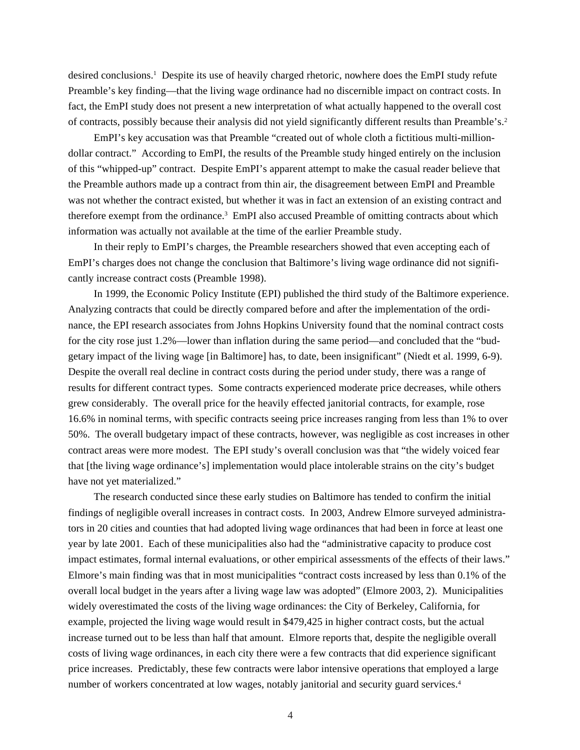desired conclusions.<sup>1</sup> Despite its use of heavily charged rhetoric, nowhere does the EmPI study refute Preamble's key finding—that the living wage ordinance had no discernible impact on contract costs. In fact, the EmPI study does not present a new interpretation of what actually happened to the overall cost of contracts, possibly because their analysis did not yield significantly different results than Preamble's.2

EmPI's key accusation was that Preamble "created out of whole cloth a fictitious multi-milliondollar contract." According to EmPI, the results of the Preamble study hinged entirely on the inclusion of this "whipped-up" contract. Despite EmPI's apparent attempt to make the casual reader believe that the Preamble authors made up a contract from thin air, the disagreement between EmPI and Preamble was not whether the contract existed, but whether it was in fact an extension of an existing contract and therefore exempt from the ordinance.<sup>3</sup> EmPI also accused Preamble of omitting contracts about which information was actually not available at the time of the earlier Preamble study.

In their reply to EmPI's charges, the Preamble researchers showed that even accepting each of EmPI's charges does not change the conclusion that Baltimore's living wage ordinance did not significantly increase contract costs (Preamble 1998).

In 1999, the Economic Policy Institute (EPI) published the third study of the Baltimore experience. Analyzing contracts that could be directly compared before and after the implementation of the ordinance, the EPI research associates from Johns Hopkins University found that the nominal contract costs for the city rose just 1.2%—lower than inflation during the same period—and concluded that the "budgetary impact of the living wage [in Baltimore] has, to date, been insignificant" (Niedt et al. 1999, 6-9). Despite the overall real decline in contract costs during the period under study, there was a range of results for different contract types. Some contracts experienced moderate price decreases, while others grew considerably. The overall price for the heavily effected janitorial contracts, for example, rose 16.6% in nominal terms, with specific contracts seeing price increases ranging from less than 1% to over 50%. The overall budgetary impact of these contracts, however, was negligible as cost increases in other contract areas were more modest. The EPI study's overall conclusion was that "the widely voiced fear that [the living wage ordinance's] implementation would place intolerable strains on the city's budget have not yet materialized."

The research conducted since these early studies on Baltimore has tended to confirm the initial findings of negligible overall increases in contract costs. In 2003, Andrew Elmore surveyed administrators in 20 cities and counties that had adopted living wage ordinances that had been in force at least one year by late 2001. Each of these municipalities also had the "administrative capacity to produce cost impact estimates, formal internal evaluations, or other empirical assessments of the effects of their laws." Elmore's main finding was that in most municipalities "contract costs increased by less than 0.1% of the overall local budget in the years after a living wage law was adopted" (Elmore 2003, 2). Municipalities widely overestimated the costs of the living wage ordinances: the City of Berkeley, California, for example, projected the living wage would result in \$479,425 in higher contract costs, but the actual increase turned out to be less than half that amount. Elmore reports that, despite the negligible overall costs of living wage ordinances, in each city there were a few contracts that did experience significant price increases. Predictably, these few contracts were labor intensive operations that employed a large number of workers concentrated at low wages, notably janitorial and security guard services.<sup>4</sup>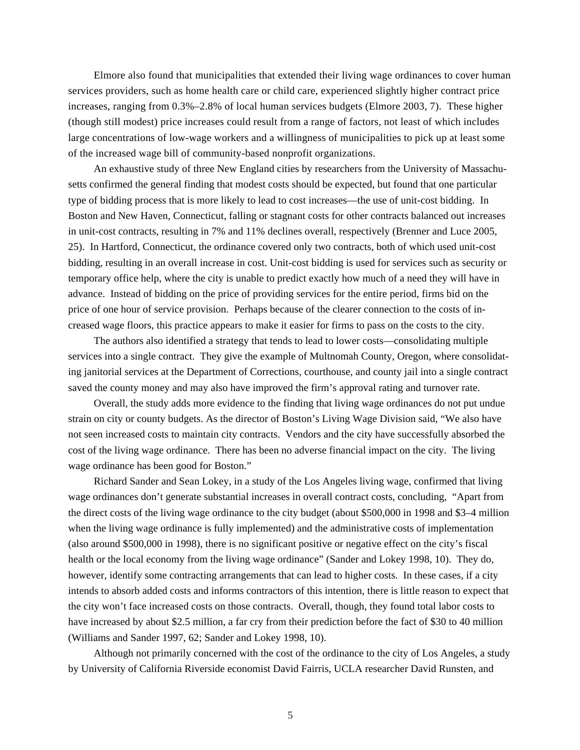Elmore also found that municipalities that extended their living wage ordinances to cover human services providers, such as home health care or child care, experienced slightly higher contract price increases, ranging from 0.3%–2.8% of local human services budgets (Elmore 2003, 7). These higher (though still modest) price increases could result from a range of factors, not least of which includes large concentrations of low-wage workers and a willingness of municipalities to pick up at least some of the increased wage bill of community-based nonprofit organizations.

An exhaustive study of three New England cities by researchers from the University of Massachusetts confirmed the general finding that modest costs should be expected, but found that one particular type of bidding process that is more likely to lead to cost increases—the use of unit-cost bidding. In Boston and New Haven, Connecticut, falling or stagnant costs for other contracts balanced out increases in unit-cost contracts, resulting in 7% and 11% declines overall, respectively (Brenner and Luce 2005, 25). In Hartford, Connecticut, the ordinance covered only two contracts, both of which used unit-cost bidding, resulting in an overall increase in cost. Unit-cost bidding is used for services such as security or temporary office help, where the city is unable to predict exactly how much of a need they will have in advance. Instead of bidding on the price of providing services for the entire period, firms bid on the price of one hour of service provision. Perhaps because of the clearer connection to the costs of increased wage floors, this practice appears to make it easier for firms to pass on the costs to the city.

The authors also identified a strategy that tends to lead to lower costs—consolidating multiple services into a single contract. They give the example of Multnomah County, Oregon, where consolidating janitorial services at the Department of Corrections, courthouse, and county jail into a single contract saved the county money and may also have improved the firm's approval rating and turnover rate.

Overall, the study adds more evidence to the finding that living wage ordinances do not put undue strain on city or county budgets. As the director of Boston's Living Wage Division said, "We also have not seen increased costs to maintain city contracts. Vendors and the city have successfully absorbed the cost of the living wage ordinance. There has been no adverse financial impact on the city. The living wage ordinance has been good for Boston."

Richard Sander and Sean Lokey, in a study of the Los Angeles living wage, confirmed that living wage ordinances don't generate substantial increases in overall contract costs, concluding, "Apart from the direct costs of the living wage ordinance to the city budget (about \$500,000 in 1998 and \$3–4 million when the living wage ordinance is fully implemented) and the administrative costs of implementation (also around \$500,000 in 1998), there is no significant positive or negative effect on the city's fiscal health or the local economy from the living wage ordinance" (Sander and Lokey 1998, 10). They do, however, identify some contracting arrangements that can lead to higher costs. In these cases, if a city intends to absorb added costs and informs contractors of this intention, there is little reason to expect that the city won't face increased costs on those contracts. Overall, though, they found total labor costs to have increased by about \$2.5 million, a far cry from their prediction before the fact of \$30 to 40 million (Williams and Sander 1997, 62; Sander and Lokey 1998, 10).

Although not primarily concerned with the cost of the ordinance to the city of Los Angeles, a study by University of California Riverside economist David Fairris, UCLA researcher David Runsten, and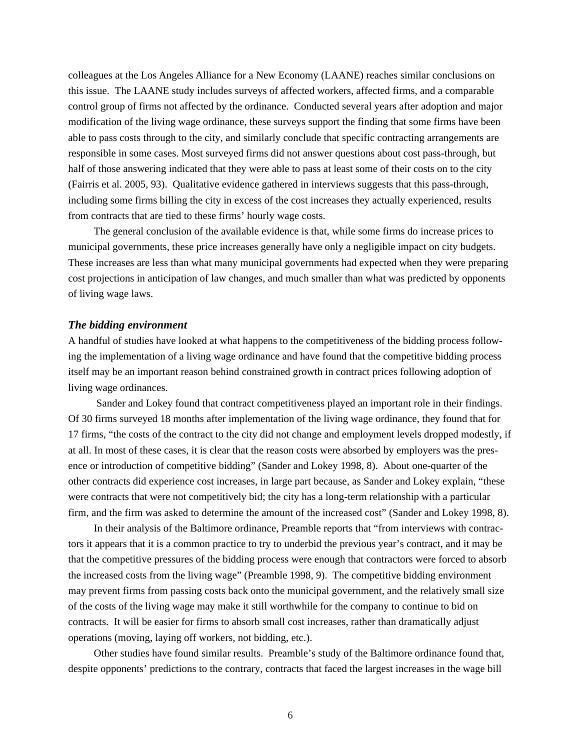colleagues at the Los Angeles Alliance for a New Economy (LAANE) reaches similar conclusions on this issue. The LAANE study includes surveys of affected workers, affected firms, and a comparable control group of firms not affected by the ordinance. Conducted several years after adoption and major modification of the living wage ordinance, these surveys support the finding that some firms have been able to pass costs through to the city, and similarly conclude that specific contracting arrangements are responsible in some cases. Most surveyed firms did not answer questions about cost pass-through, but half of those answering indicated that they were able to pass at least some of their costs on to the city (Fairris et al. 2005, 93). Qualitative evidence gathered in interviews suggests that this pass-through, including some firms billing the city in excess of the cost increases they actually experienced, results from contracts that are tied to these firms' hourly wage costs.

The general conclusion of the available evidence is that, while some firms do increase prices to municipal governments, these price increases generally have only a negligible impact on city budgets. These increases are less than what many municipal governments had expected when they were preparing cost projections in anticipation of law changes, and much smaller than what was predicted by opponents of living wage laws.

#### *The bidding environment*

A handful of studies have looked at what happens to the competitiveness of the bidding process following the implementation of a living wage ordinance and have found that the competitive bidding process itself may be an important reason behind constrained growth in contract prices following adoption of living wage ordinances.

 Sander and Lokey found that contract competitiveness played an important role in their findings. Of 30 firms surveyed 18 months after implementation of the living wage ordinance, they found that for 17 firms, "the costs of the contract to the city did not change and employment levels dropped modestly, if at all. In most of these cases, it is clear that the reason costs were absorbed by employers was the presence or introduction of competitive bidding" (Sander and Lokey 1998, 8). About one-quarter of the other contracts did experience cost increases, in large part because, as Sander and Lokey explain, "these were contracts that were not competitively bid; the city has a long-term relationship with a particular firm, and the firm was asked to determine the amount of the increased cost" (Sander and Lokey 1998, 8).

In their analysis of the Baltimore ordinance, Preamble reports that "from interviews with contractors it appears that it is a common practice to try to underbid the previous year's contract, and it may be that the competitive pressures of the bidding process were enough that contractors were forced to absorb the increased costs from the living wage" (Preamble 1998, 9). The competitive bidding environment may prevent firms from passing costs back onto the municipal government, and the relatively small size of the costs of the living wage may make it still worthwhile for the company to continue to bid on contracts. It will be easier for firms to absorb small cost increases, rather than dramatically adjust operations (moving, laying off workers, not bidding, etc.).

Other studies have found similar results. Preamble's study of the Baltimore ordinance found that, despite opponents' predictions to the contrary, contracts that faced the largest increases in the wage bill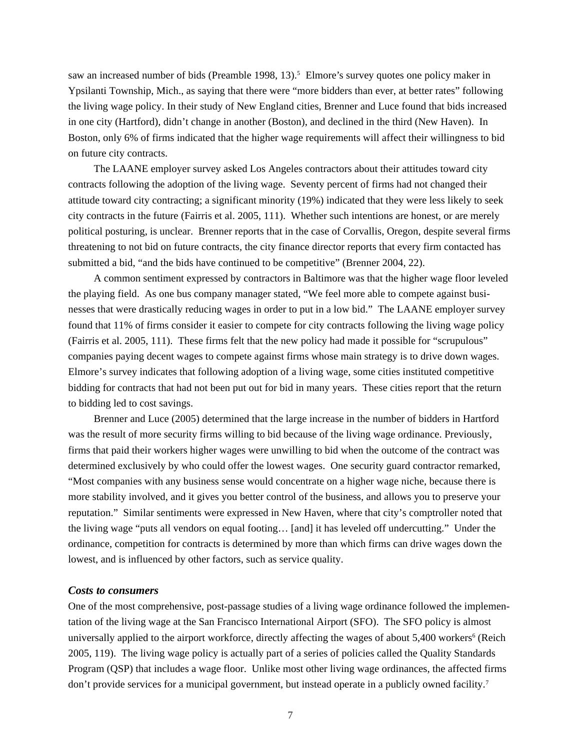saw an increased number of bids (Preamble 1998, 13).<sup>5</sup> Elmore's survey quotes one policy maker in Ypsilanti Township, Mich., as saying that there were "more bidders than ever, at better rates" following the living wage policy. In their study of New England cities, Brenner and Luce found that bids increased in one city (Hartford), didn't change in another (Boston), and declined in the third (New Haven). In Boston, only 6% of firms indicated that the higher wage requirements will affect their willingness to bid on future city contracts.

The LAANE employer survey asked Los Angeles contractors about their attitudes toward city contracts following the adoption of the living wage. Seventy percent of firms had not changed their attitude toward city contracting; a significant minority (19%) indicated that they were less likely to seek city contracts in the future (Fairris et al. 2005, 111). Whether such intentions are honest, or are merely political posturing, is unclear. Brenner reports that in the case of Corvallis, Oregon, despite several firms threatening to not bid on future contracts, the city finance director reports that every firm contacted has submitted a bid, "and the bids have continued to be competitive" (Brenner 2004, 22).

A common sentiment expressed by contractors in Baltimore was that the higher wage floor leveled the playing field. As one bus company manager stated, "We feel more able to compete against businesses that were drastically reducing wages in order to put in a low bid." The LAANE employer survey found that 11% of firms consider it easier to compete for city contracts following the living wage policy (Fairris et al. 2005, 111). These firms felt that the new policy had made it possible for "scrupulous" companies paying decent wages to compete against firms whose main strategy is to drive down wages. Elmore's survey indicates that following adoption of a living wage, some cities instituted competitive bidding for contracts that had not been put out for bid in many years. These cities report that the return to bidding led to cost savings.

Brenner and Luce (2005) determined that the large increase in the number of bidders in Hartford was the result of more security firms willing to bid because of the living wage ordinance. Previously, firms that paid their workers higher wages were unwilling to bid when the outcome of the contract was determined exclusively by who could offer the lowest wages. One security guard contractor remarked, "Most companies with any business sense would concentrate on a higher wage niche, because there is more stability involved, and it gives you better control of the business, and allows you to preserve your reputation." Similar sentiments were expressed in New Haven, where that city's comptroller noted that the living wage "puts all vendors on equal footing… [and] it has leveled off undercutting." Under the ordinance, competition for contracts is determined by more than which firms can drive wages down the lowest, and is influenced by other factors, such as service quality.

#### *Costs to consumers*

One of the most comprehensive, post-passage studies of a living wage ordinance followed the implementation of the living wage at the San Francisco International Airport (SFO). The SFO policy is almost universally applied to the airport workforce, directly affecting the wages of about 5,400 workers<sup>6</sup> (Reich 2005, 119). The living wage policy is actually part of a series of policies called the Quality Standards Program (QSP) that includes a wage floor. Unlike most other living wage ordinances, the affected firms don't provide services for a municipal government, but instead operate in a publicly owned facility.7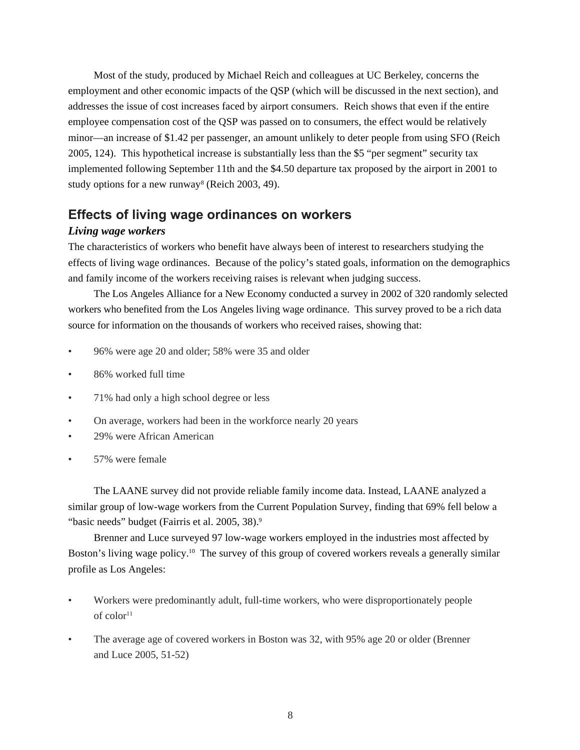Most of the study, produced by Michael Reich and colleagues at UC Berkeley, concerns the employment and other economic impacts of the QSP (which will be discussed in the next section), and addresses the issue of cost increases faced by airport consumers. Reich shows that even if the entire employee compensation cost of the QSP was passed on to consumers, the effect would be relatively minor—an increase of \$1.42 per passenger, an amount unlikely to deter people from using SFO (Reich 2005, 124). This hypothetical increase is substantially less than the \$5 "per segment" security tax implemented following September 11th and the \$4.50 departure tax proposed by the airport in 2001 to study options for a new runway<sup>8</sup> (Reich 2003, 49).

# **Effects of living wage ordinances on workers**

### *Living wage workers*

The characteristics of workers who benefit have always been of interest to researchers studying the effects of living wage ordinances. Because of the policy's stated goals, information on the demographics and family income of the workers receiving raises is relevant when judging success.

The Los Angeles Alliance for a New Economy conducted a survey in 2002 of 320 randomly selected workers who benefited from the Los Angeles living wage ordinance. This survey proved to be a rich data source for information on the thousands of workers who received raises, showing that:

- 96% were age 20 and older; 58% were 35 and older
- 86% worked full time
- 71% had only a high school degree or less
- On average, workers had been in the workforce nearly 20 years
- 29% were African American
- 57% were female

The LAANE survey did not provide reliable family income data. Instead, LAANE analyzed a similar group of low-wage workers from the Current Population Survey, finding that 69% fell below a "basic needs" budget (Fairris et al. 2005, 38).<sup>9</sup>

Brenner and Luce surveyed 97 low-wage workers employed in the industries most affected by Boston's living wage policy.<sup>10</sup> The survey of this group of covered workers reveals a generally similar profile as Los Angeles:

- Workers were predominantly adult, full-time workers, who were disproportionately people  $of color<sup>11</sup>$
- The average age of covered workers in Boston was 32, with 95% age 20 or older (Brenner and Luce 2005, 51-52)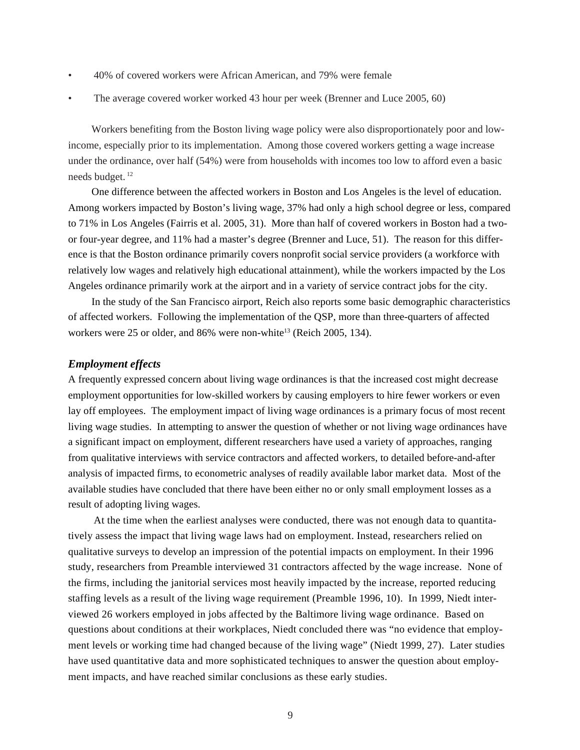- 40% of covered workers were African American, and 79% were female
- The average covered worker worked 43 hour per week (Brenner and Luce 2005, 60)

Workers benefiting from the Boston living wage policy were also disproportionately poor and lowincome, especially prior to its implementation. Among those covered workers getting a wage increase under the ordinance, over half (54%) were from households with incomes too low to afford even a basic needs budget. 12

One difference between the affected workers in Boston and Los Angeles is the level of education. Among workers impacted by Boston's living wage, 37% had only a high school degree or less, compared to 71% in Los Angeles (Fairris et al. 2005, 31). More than half of covered workers in Boston had a twoor four-year degree, and 11% had a master's degree (Brenner and Luce, 51). The reason for this difference is that the Boston ordinance primarily covers nonprofit social service providers (a workforce with relatively low wages and relatively high educational attainment), while the workers impacted by the Los Angeles ordinance primarily work at the airport and in a variety of service contract jobs for the city.

In the study of the San Francisco airport, Reich also reports some basic demographic characteristics of affected workers. Following the implementation of the QSP, more than three-quarters of affected workers were 25 or older, and 86% were non-white<sup>13</sup> (Reich 2005, 134).

#### *Employment effects*

A frequently expressed concern about living wage ordinances is that the increased cost might decrease employment opportunities for low-skilled workers by causing employers to hire fewer workers or even lay off employees. The employment impact of living wage ordinances is a primary focus of most recent living wage studies. In attempting to answer the question of whether or not living wage ordinances have a significant impact on employment, different researchers have used a variety of approaches, ranging from qualitative interviews with service contractors and affected workers, to detailed before-and-after analysis of impacted firms, to econometric analyses of readily available labor market data. Most of the available studies have concluded that there have been either no or only small employment losses as a result of adopting living wages.

At the time when the earliest analyses were conducted, there was not enough data to quantitatively assess the impact that living wage laws had on employment. Instead, researchers relied on qualitative surveys to develop an impression of the potential impacts on employment. In their 1996 study, researchers from Preamble interviewed 31 contractors affected by the wage increase. None of the firms, including the janitorial services most heavily impacted by the increase, reported reducing staffing levels as a result of the living wage requirement (Preamble 1996, 10). In 1999, Niedt interviewed 26 workers employed in jobs affected by the Baltimore living wage ordinance. Based on questions about conditions at their workplaces, Niedt concluded there was "no evidence that employment levels or working time had changed because of the living wage" (Niedt 1999, 27). Later studies have used quantitative data and more sophisticated techniques to answer the question about employment impacts, and have reached similar conclusions as these early studies.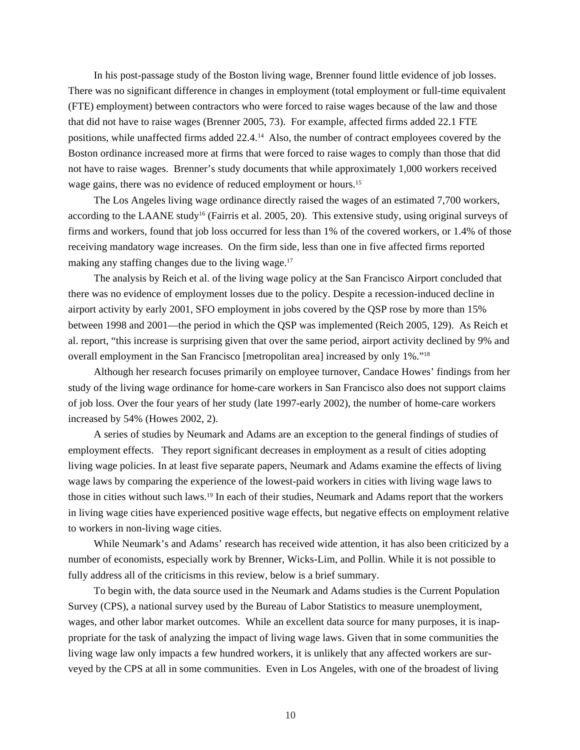In his post-passage study of the Boston living wage, Brenner found little evidence of job losses. There was no significant difference in changes in employment (total employment or full-time equivalent (FTE) employment) between contractors who were forced to raise wages because of the law and those that did not have to raise wages (Brenner 2005, 73). For example, affected firms added 22.1 FTE positions, while unaffected firms added 22.4.14 Also, the number of contract employees covered by the Boston ordinance increased more at firms that were forced to raise wages to comply than those that did not have to raise wages. Brenner's study documents that while approximately 1,000 workers received wage gains, there was no evidence of reduced employment or hours.<sup>15</sup>

The Los Angeles living wage ordinance directly raised the wages of an estimated 7,700 workers, according to the LAANE study<sup>16</sup> (Fairris et al. 2005, 20). This extensive study, using original surveys of firms and workers, found that job loss occurred for less than 1% of the covered workers, or 1.4% of those receiving mandatory wage increases. On the firm side, less than one in five affected firms reported making any staffing changes due to the living wage.<sup>17</sup>

The analysis by Reich et al. of the living wage policy at the San Francisco Airport concluded that there was no evidence of employment losses due to the policy. Despite a recession-induced decline in airport activity by early 2001, SFO employment in jobs covered by the QSP rose by more than 15% between 1998 and 2001—the period in which the QSP was implemented (Reich 2005, 129). As Reich et al. report, "this increase is surprising given that over the same period, airport activity declined by 9% and overall employment in the San Francisco [metropolitan area] increased by only 1%."18

Although her research focuses primarily on employee turnover, Candace Howes' findings from her study of the living wage ordinance for home-care workers in San Francisco also does not support claims of job loss. Over the four years of her study (late 1997-early 2002), the number of home-care workers increased by 54% (Howes 2002, 2).

A series of studies by Neumark and Adams are an exception to the general findings of studies of employment effects. They report significant decreases in employment as a result of cities adopting living wage policies. In at least five separate papers, Neumark and Adams examine the effects of living wage laws by comparing the experience of the lowest-paid workers in cities with living wage laws to those in cities without such laws.19 In each of their studies, Neumark and Adams report that the workers in living wage cities have experienced positive wage effects, but negative effects on employment relative to workers in non-living wage cities.

While Neumark's and Adams' research has received wide attention, it has also been criticized by a number of economists, especially work by Brenner, Wicks-Lim, and Pollin. While it is not possible to fully address all of the criticisms in this review, below is a brief summary.

To begin with, the data source used in the Neumark and Adams studies is the Current Population Survey (CPS), a national survey used by the Bureau of Labor Statistics to measure unemployment, wages, and other labor market outcomes. While an excellent data source for many purposes, it is inappropriate for the task of analyzing the impact of living wage laws. Given that in some communities the living wage law only impacts a few hundred workers, it is unlikely that any affected workers are surveyed by the CPS at all in some communities. Even in Los Angeles, with one of the broadest of living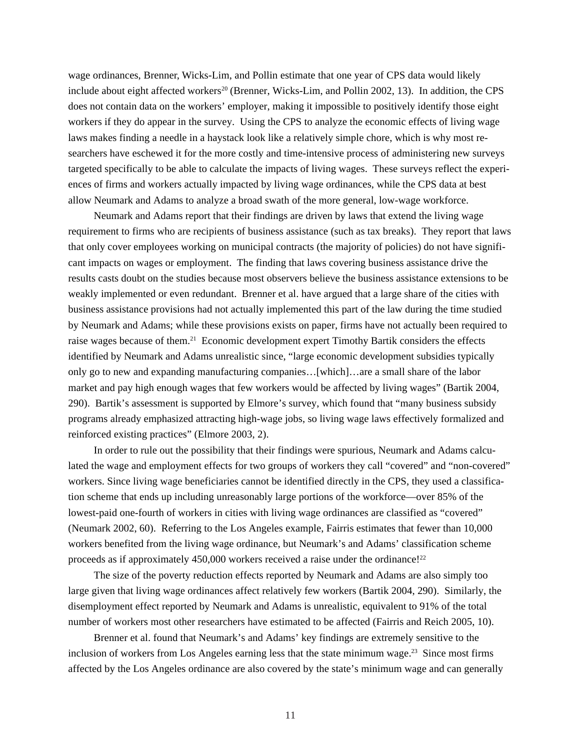wage ordinances, Brenner, Wicks-Lim, and Pollin estimate that one year of CPS data would likely include about eight affected workers<sup>20</sup> (Brenner, Wicks-Lim, and Pollin 2002, 13). In addition, the CPS does not contain data on the workers' employer, making it impossible to positively identify those eight workers if they do appear in the survey. Using the CPS to analyze the economic effects of living wage laws makes finding a needle in a haystack look like a relatively simple chore, which is why most researchers have eschewed it for the more costly and time-intensive process of administering new surveys targeted specifically to be able to calculate the impacts of living wages. These surveys reflect the experiences of firms and workers actually impacted by living wage ordinances, while the CPS data at best allow Neumark and Adams to analyze a broad swath of the more general, low-wage workforce.

Neumark and Adams report that their findings are driven by laws that extend the living wage requirement to firms who are recipients of business assistance (such as tax breaks). They report that laws that only cover employees working on municipal contracts (the majority of policies) do not have significant impacts on wages or employment. The finding that laws covering business assistance drive the results casts doubt on the studies because most observers believe the business assistance extensions to be weakly implemented or even redundant. Brenner et al. have argued that a large share of the cities with business assistance provisions had not actually implemented this part of the law during the time studied by Neumark and Adams; while these provisions exists on paper, firms have not actually been required to raise wages because of them.<sup>21</sup> Economic development expert Timothy Bartik considers the effects identified by Neumark and Adams unrealistic since, "large economic development subsidies typically only go to new and expanding manufacturing companies…[which]…are a small share of the labor market and pay high enough wages that few workers would be affected by living wages" (Bartik 2004, 290). Bartik's assessment is supported by Elmore's survey, which found that "many business subsidy programs already emphasized attracting high-wage jobs, so living wage laws effectively formalized and reinforced existing practices" (Elmore 2003, 2).

In order to rule out the possibility that their findings were spurious, Neumark and Adams calculated the wage and employment effects for two groups of workers they call "covered" and "non-covered" workers. Since living wage beneficiaries cannot be identified directly in the CPS, they used a classification scheme that ends up including unreasonably large portions of the workforce—over 85% of the lowest-paid one-fourth of workers in cities with living wage ordinances are classified as "covered" (Neumark 2002, 60). Referring to the Los Angeles example, Fairris estimates that fewer than 10,000 workers benefited from the living wage ordinance, but Neumark's and Adams' classification scheme proceeds as if approximately 450,000 workers received a raise under the ordinance!22

The size of the poverty reduction effects reported by Neumark and Adams are also simply too large given that living wage ordinances affect relatively few workers (Bartik 2004, 290). Similarly, the disemployment effect reported by Neumark and Adams is unrealistic, equivalent to 91% of the total number of workers most other researchers have estimated to be affected (Fairris and Reich 2005, 10).

Brenner et al. found that Neumark's and Adams' key findings are extremely sensitive to the inclusion of workers from Los Angeles earning less that the state minimum wage.<sup>23</sup> Since most firms affected by the Los Angeles ordinance are also covered by the state's minimum wage and can generally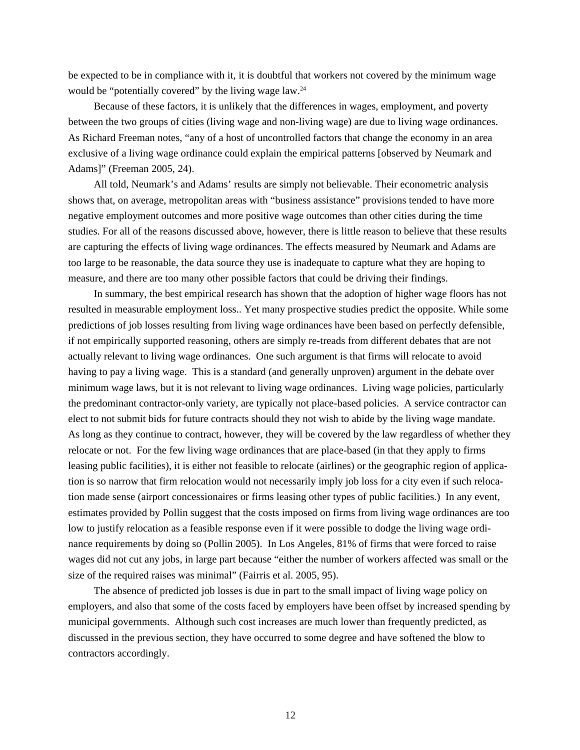be expected to be in compliance with it, it is doubtful that workers not covered by the minimum wage would be "potentially covered" by the living wage law.<sup>24</sup>

Because of these factors, it is unlikely that the differences in wages, employment, and poverty between the two groups of cities (living wage and non-living wage) are due to living wage ordinances. As Richard Freeman notes, "any of a host of uncontrolled factors that change the economy in an area exclusive of a living wage ordinance could explain the empirical patterns [observed by Neumark and Adams]" (Freeman 2005, 24).

All told, Neumark's and Adams' results are simply not believable. Their econometric analysis shows that, on average, metropolitan areas with "business assistance" provisions tended to have more negative employment outcomes and more positive wage outcomes than other cities during the time studies. For all of the reasons discussed above, however, there is little reason to believe that these results are capturing the effects of living wage ordinances. The effects measured by Neumark and Adams are too large to be reasonable, the data source they use is inadequate to capture what they are hoping to measure, and there are too many other possible factors that could be driving their findings.

In summary, the best empirical research has shown that the adoption of higher wage floors has not resulted in measurable employment loss.. Yet many prospective studies predict the opposite. While some predictions of job losses resulting from living wage ordinances have been based on perfectly defensible, if not empirically supported reasoning, others are simply re-treads from different debates that are not actually relevant to living wage ordinances. One such argument is that firms will relocate to avoid having to pay a living wage. This is a standard (and generally unproven) argument in the debate over minimum wage laws, but it is not relevant to living wage ordinances. Living wage policies, particularly the predominant contractor-only variety, are typically not place-based policies. A service contractor can elect to not submit bids for future contracts should they not wish to abide by the living wage mandate. As long as they continue to contract, however, they will be covered by the law regardless of whether they relocate or not. For the few living wage ordinances that are place-based (in that they apply to firms leasing public facilities), it is either not feasible to relocate (airlines) or the geographic region of application is so narrow that firm relocation would not necessarily imply job loss for a city even if such relocation made sense (airport concessionaires or firms leasing other types of public facilities.) In any event, estimates provided by Pollin suggest that the costs imposed on firms from living wage ordinances are too low to justify relocation as a feasible response even if it were possible to dodge the living wage ordinance requirements by doing so (Pollin 2005). In Los Angeles, 81% of firms that were forced to raise wages did not cut any jobs, in large part because "either the number of workers affected was small or the size of the required raises was minimal" (Fairris et al. 2005, 95).

The absence of predicted job losses is due in part to the small impact of living wage policy on employers, and also that some of the costs faced by employers have been offset by increased spending by municipal governments. Although such cost increases are much lower than frequently predicted, as discussed in the previous section, they have occurred to some degree and have softened the blow to contractors accordingly.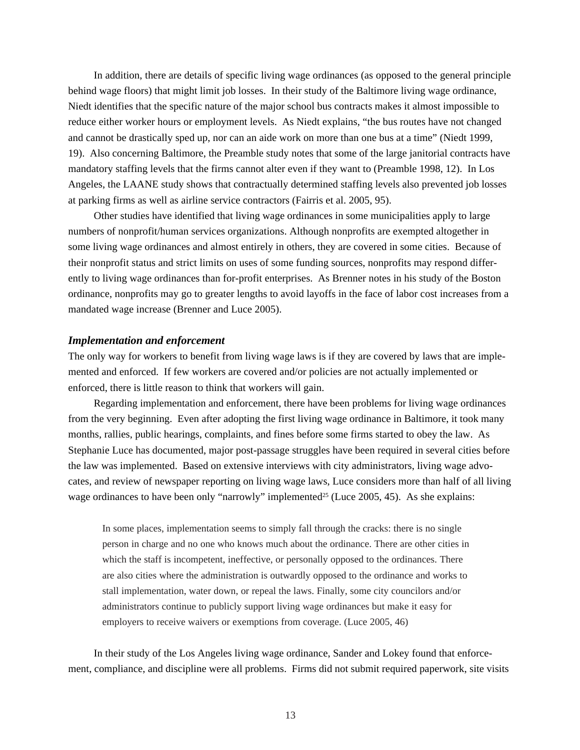In addition, there are details of specific living wage ordinances (as opposed to the general principle behind wage floors) that might limit job losses. In their study of the Baltimore living wage ordinance, Niedt identifies that the specific nature of the major school bus contracts makes it almost impossible to reduce either worker hours or employment levels. As Niedt explains, "the bus routes have not changed and cannot be drastically sped up, nor can an aide work on more than one bus at a time" (Niedt 1999, 19). Also concerning Baltimore, the Preamble study notes that some of the large janitorial contracts have mandatory staffing levels that the firms cannot alter even if they want to (Preamble 1998, 12). In Los Angeles, the LAANE study shows that contractually determined staffing levels also prevented job losses at parking firms as well as airline service contractors (Fairris et al. 2005, 95).

Other studies have identified that living wage ordinances in some municipalities apply to large numbers of nonprofit/human services organizations. Although nonprofits are exempted altogether in some living wage ordinances and almost entirely in others, they are covered in some cities. Because of their nonprofit status and strict limits on uses of some funding sources, nonprofits may respond differently to living wage ordinances than for-profit enterprises. As Brenner notes in his study of the Boston ordinance, nonprofits may go to greater lengths to avoid layoffs in the face of labor cost increases from a mandated wage increase (Brenner and Luce 2005).

#### *Implementation and enforcement*

The only way for workers to benefit from living wage laws is if they are covered by laws that are implemented and enforced. If few workers are covered and/or policies are not actually implemented or enforced, there is little reason to think that workers will gain.

Regarding implementation and enforcement, there have been problems for living wage ordinances from the very beginning. Even after adopting the first living wage ordinance in Baltimore, it took many months, rallies, public hearings, complaints, and fines before some firms started to obey the law. As Stephanie Luce has documented, major post-passage struggles have been required in several cities before the law was implemented. Based on extensive interviews with city administrators, living wage advocates, and review of newspaper reporting on living wage laws, Luce considers more than half of all living wage ordinances to have been only "narrowly" implemented<sup>25</sup> (Luce 2005, 45). As she explains:

In some places, implementation seems to simply fall through the cracks: there is no single person in charge and no one who knows much about the ordinance. There are other cities in which the staff is incompetent, ineffective, or personally opposed to the ordinances. There are also cities where the administration is outwardly opposed to the ordinance and works to stall implementation, water down, or repeal the laws. Finally, some city councilors and/or administrators continue to publicly support living wage ordinances but make it easy for employers to receive waivers or exemptions from coverage. (Luce 2005, 46)

In their study of the Los Angeles living wage ordinance, Sander and Lokey found that enforcement, compliance, and discipline were all problems. Firms did not submit required paperwork, site visits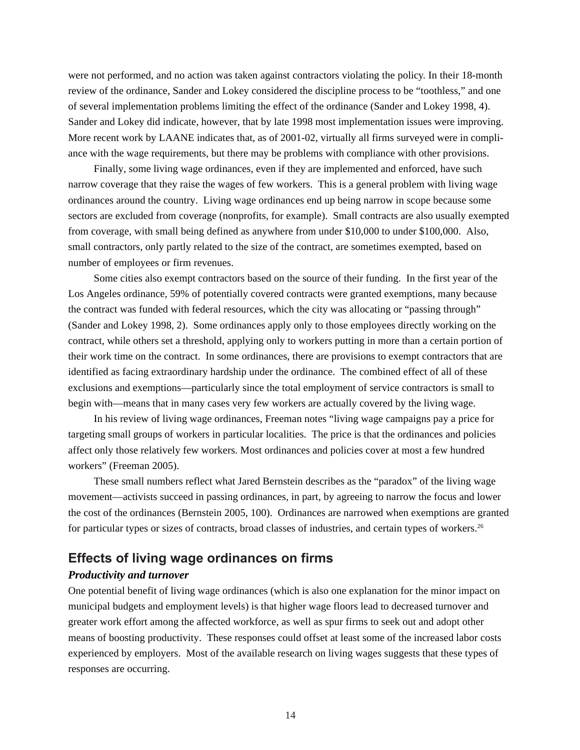were not performed, and no action was taken against contractors violating the policy. In their 18-month review of the ordinance, Sander and Lokey considered the discipline process to be "toothless," and one of several implementation problems limiting the effect of the ordinance (Sander and Lokey 1998, 4). Sander and Lokey did indicate, however, that by late 1998 most implementation issues were improving. More recent work by LAANE indicates that, as of 2001-02, virtually all firms surveyed were in compliance with the wage requirements, but there may be problems with compliance with other provisions.

Finally, some living wage ordinances, even if they are implemented and enforced, have such narrow coverage that they raise the wages of few workers. This is a general problem with living wage ordinances around the country. Living wage ordinances end up being narrow in scope because some sectors are excluded from coverage (nonprofits, for example). Small contracts are also usually exempted from coverage, with small being defined as anywhere from under \$10,000 to under \$100,000. Also, small contractors, only partly related to the size of the contract, are sometimes exempted, based on number of employees or firm revenues.

Some cities also exempt contractors based on the source of their funding. In the first year of the Los Angeles ordinance, 59% of potentially covered contracts were granted exemptions, many because the contract was funded with federal resources, which the city was allocating or "passing through" (Sander and Lokey 1998, 2). Some ordinances apply only to those employees directly working on the contract, while others set a threshold, applying only to workers putting in more than a certain portion of their work time on the contract. In some ordinances, there are provisions to exempt contractors that are identified as facing extraordinary hardship under the ordinance. The combined effect of all of these exclusions and exemptions—particularly since the total employment of service contractors is small to begin with—means that in many cases very few workers are actually covered by the living wage.

In his review of living wage ordinances, Freeman notes "living wage campaigns pay a price for targeting small groups of workers in particular localities. The price is that the ordinances and policies affect only those relatively few workers. Most ordinances and policies cover at most a few hundred workers" (Freeman 2005).

These small numbers reflect what Jared Bernstein describes as the "paradox" of the living wage movement—activists succeed in passing ordinances, in part, by agreeing to narrow the focus and lower the cost of the ordinances (Bernstein 2005, 100). Ordinances are narrowed when exemptions are granted for particular types or sizes of contracts, broad classes of industries, and certain types of workers.<sup>26</sup>

## **Effects of living wage ordinances on firms** *Productivity and turnover*

One potential benefit of living wage ordinances (which is also one explanation for the minor impact on municipal budgets and employment levels) is that higher wage floors lead to decreased turnover and greater work effort among the affected workforce, as well as spur firms to seek out and adopt other means of boosting productivity. These responses could offset at least some of the increased labor costs experienced by employers. Most of the available research on living wages suggests that these types of responses are occurring.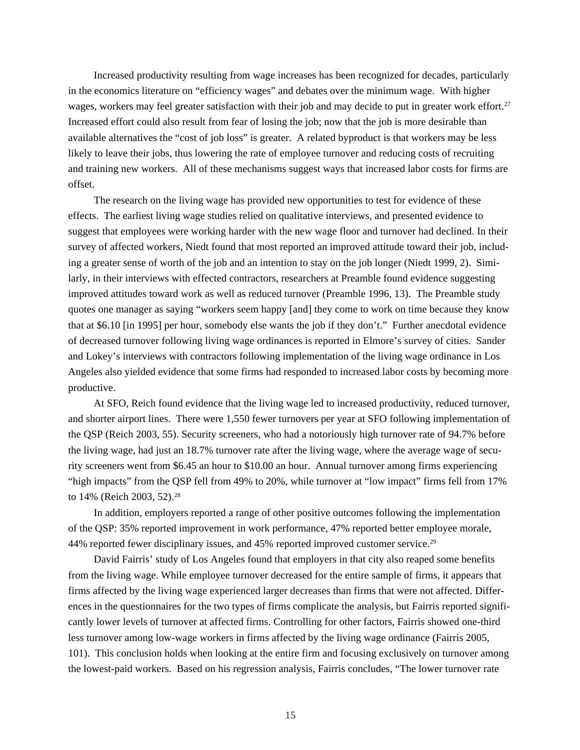Increased productivity resulting from wage increases has been recognized for decades, particularly in the economics literature on "efficiency wages" and debates over the minimum wage. With higher wages, workers may feel greater satisfaction with their job and may decide to put in greater work effort.<sup>27</sup> Increased effort could also result from fear of losing the job; now that the job is more desirable than available alternatives the "cost of job loss" is greater. A related byproduct is that workers may be less likely to leave their jobs, thus lowering the rate of employee turnover and reducing costs of recruiting and training new workers. All of these mechanisms suggest ways that increased labor costs for firms are offset.

The research on the living wage has provided new opportunities to test for evidence of these effects. The earliest living wage studies relied on qualitative interviews, and presented evidence to suggest that employees were working harder with the new wage floor and turnover had declined. In their survey of affected workers, Niedt found that most reported an improved attitude toward their job, including a greater sense of worth of the job and an intention to stay on the job longer (Niedt 1999, 2). Similarly, in their interviews with effected contractors, researchers at Preamble found evidence suggesting improved attitudes toward work as well as reduced turnover (Preamble 1996, 13). The Preamble study quotes one manager as saying "workers seem happy [and] they come to work on time because they know that at \$6.10 [in 1995] per hour, somebody else wants the job if they don't." Further anecdotal evidence of decreased turnover following living wage ordinances is reported in Elmore's survey of cities. Sander and Lokey's interviews with contractors following implementation of the living wage ordinance in Los Angeles also yielded evidence that some firms had responded to increased labor costs by becoming more productive.

At SFO, Reich found evidence that the living wage led to increased productivity, reduced turnover, and shorter airport lines. There were 1,550 fewer turnovers per year at SFO following implementation of the QSP (Reich 2003, 55). Security screeners, who had a notoriously high turnover rate of 94.7% before the living wage, had just an 18.7% turnover rate after the living wage, where the average wage of security screeners went from \$6.45 an hour to \$10.00 an hour. Annual turnover among firms experiencing "high impacts" from the QSP fell from 49% to 20%, while turnover at "low impact" firms fell from 17% to 14% (Reich 2003, 52).<sup>28</sup>

In addition, employers reported a range of other positive outcomes following the implementation of the QSP: 35% reported improvement in work performance, 47% reported better employee morale, 44% reported fewer disciplinary issues, and 45% reported improved customer service.29

David Fairris' study of Los Angeles found that employers in that city also reaped some benefits from the living wage. While employee turnover decreased for the entire sample of firms, it appears that firms affected by the living wage experienced larger decreases than firms that were not affected. Differences in the questionnaires for the two types of firms complicate the analysis, but Fairris reported significantly lower levels of turnover at affected firms. Controlling for other factors, Fairris showed one-third less turnover among low-wage workers in firms affected by the living wage ordinance (Fairris 2005, 101). This conclusion holds when looking at the entire firm and focusing exclusively on turnover among the lowest-paid workers. Based on his regression analysis, Fairris concludes, "The lower turnover rate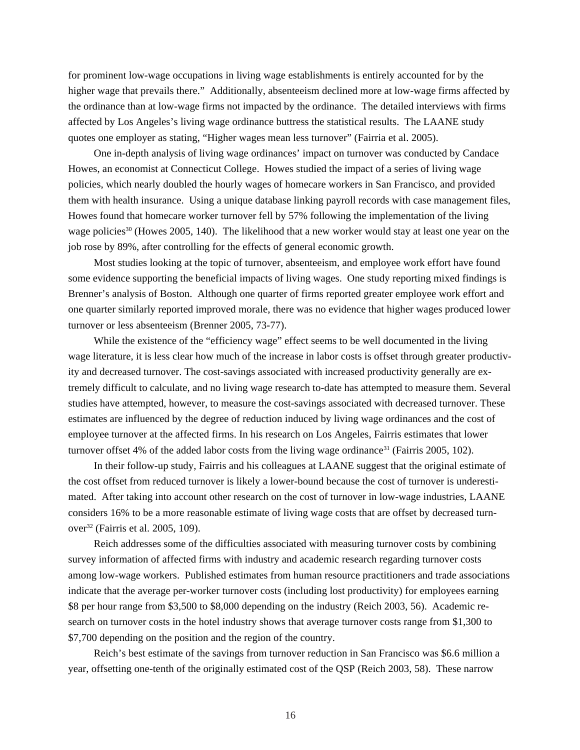for prominent low-wage occupations in living wage establishments is entirely accounted for by the higher wage that prevails there." Additionally, absenteeism declined more at low-wage firms affected by the ordinance than at low-wage firms not impacted by the ordinance. The detailed interviews with firms affected by Los Angeles's living wage ordinance buttress the statistical results. The LAANE study quotes one employer as stating, "Higher wages mean less turnover" (Fairria et al. 2005).

One in-depth analysis of living wage ordinances' impact on turnover was conducted by Candace Howes, an economist at Connecticut College. Howes studied the impact of a series of living wage policies, which nearly doubled the hourly wages of homecare workers in San Francisco, and provided them with health insurance. Using a unique database linking payroll records with case management files, Howes found that homecare worker turnover fell by 57% following the implementation of the living wage policies<sup>30</sup> (Howes 2005, 140). The likelihood that a new worker would stay at least one year on the job rose by 89%, after controlling for the effects of general economic growth.

Most studies looking at the topic of turnover, absenteeism, and employee work effort have found some evidence supporting the beneficial impacts of living wages. One study reporting mixed findings is Brenner's analysis of Boston. Although one quarter of firms reported greater employee work effort and one quarter similarly reported improved morale, there was no evidence that higher wages produced lower turnover or less absenteeism (Brenner 2005, 73-77).

While the existence of the "efficiency wage" effect seems to be well documented in the living wage literature, it is less clear how much of the increase in labor costs is offset through greater productivity and decreased turnover. The cost-savings associated with increased productivity generally are extremely difficult to calculate, and no living wage research to-date has attempted to measure them. Several studies have attempted, however, to measure the cost-savings associated with decreased turnover. These estimates are influenced by the degree of reduction induced by living wage ordinances and the cost of employee turnover at the affected firms. In his research on Los Angeles, Fairris estimates that lower turnover offset 4% of the added labor costs from the living wage ordinance<sup>31</sup> (Fairris 2005, 102).

In their follow-up study, Fairris and his colleagues at LAANE suggest that the original estimate of the cost offset from reduced turnover is likely a lower-bound because the cost of turnover is underestimated. After taking into account other research on the cost of turnover in low-wage industries, LAANE considers 16% to be a more reasonable estimate of living wage costs that are offset by decreased turnover<sup>32</sup> (Fairris et al. 2005, 109).

Reich addresses some of the difficulties associated with measuring turnover costs by combining survey information of affected firms with industry and academic research regarding turnover costs among low-wage workers. Published estimates from human resource practitioners and trade associations indicate that the average per-worker turnover costs (including lost productivity) for employees earning \$8 per hour range from \$3,500 to \$8,000 depending on the industry (Reich 2003, 56). Academic research on turnover costs in the hotel industry shows that average turnover costs range from \$1,300 to \$7,700 depending on the position and the region of the country.

Reich's best estimate of the savings from turnover reduction in San Francisco was \$6.6 million a year, offsetting one-tenth of the originally estimated cost of the QSP (Reich 2003, 58). These narrow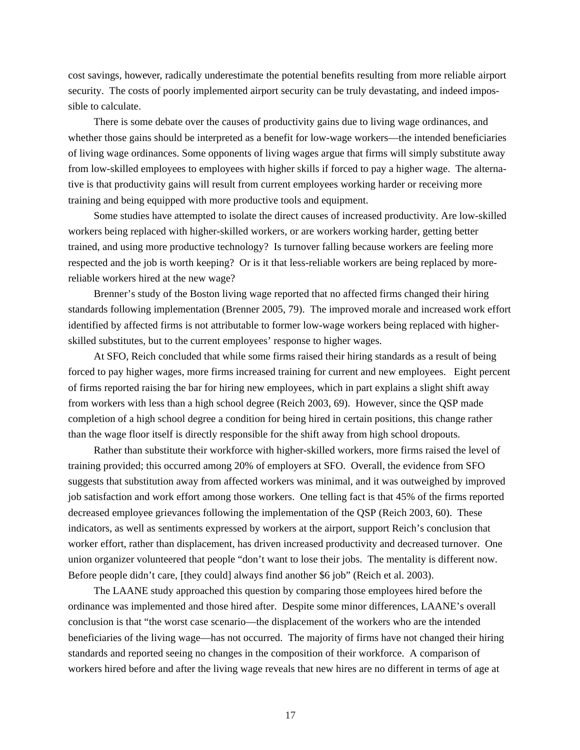cost savings, however, radically underestimate the potential benefits resulting from more reliable airport security. The costs of poorly implemented airport security can be truly devastating, and indeed impossible to calculate.

There is some debate over the causes of productivity gains due to living wage ordinances, and whether those gains should be interpreted as a benefit for low-wage workers—the intended beneficiaries of living wage ordinances. Some opponents of living wages argue that firms will simply substitute away from low-skilled employees to employees with higher skills if forced to pay a higher wage. The alternative is that productivity gains will result from current employees working harder or receiving more training and being equipped with more productive tools and equipment.

Some studies have attempted to isolate the direct causes of increased productivity. Are low-skilled workers being replaced with higher-skilled workers, or are workers working harder, getting better trained, and using more productive technology? Is turnover falling because workers are feeling more respected and the job is worth keeping? Or is it that less-reliable workers are being replaced by morereliable workers hired at the new wage?

Brenner's study of the Boston living wage reported that no affected firms changed their hiring standards following implementation (Brenner 2005, 79). The improved morale and increased work effort identified by affected firms is not attributable to former low-wage workers being replaced with higherskilled substitutes, but to the current employees' response to higher wages.

At SFO, Reich concluded that while some firms raised their hiring standards as a result of being forced to pay higher wages, more firms increased training for current and new employees. Eight percent of firms reported raising the bar for hiring new employees, which in part explains a slight shift away from workers with less than a high school degree (Reich 2003, 69). However, since the QSP made completion of a high school degree a condition for being hired in certain positions, this change rather than the wage floor itself is directly responsible for the shift away from high school dropouts.

Rather than substitute their workforce with higher-skilled workers, more firms raised the level of training provided; this occurred among 20% of employers at SFO. Overall, the evidence from SFO suggests that substitution away from affected workers was minimal, and it was outweighed by improved job satisfaction and work effort among those workers. One telling fact is that 45% of the firms reported decreased employee grievances following the implementation of the QSP (Reich 2003, 60). These indicators, as well as sentiments expressed by workers at the airport, support Reich's conclusion that worker effort, rather than displacement, has driven increased productivity and decreased turnover. One union organizer volunteered that people "don't want to lose their jobs. The mentality is different now. Before people didn't care, [they could] always find another \$6 job" (Reich et al. 2003).

The LAANE study approached this question by comparing those employees hired before the ordinance was implemented and those hired after. Despite some minor differences, LAANE's overall conclusion is that "the worst case scenario—the displacement of the workers who are the intended beneficiaries of the living wage—has not occurred. The majority of firms have not changed their hiring standards and reported seeing no changes in the composition of their workforce. A comparison of workers hired before and after the living wage reveals that new hires are no different in terms of age at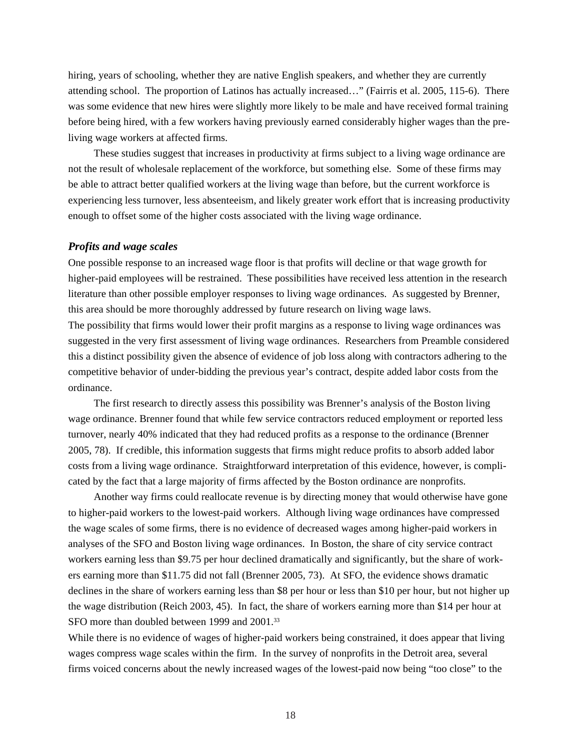hiring, years of schooling, whether they are native English speakers, and whether they are currently attending school. The proportion of Latinos has actually increased…" (Fairris et al. 2005, 115-6). There was some evidence that new hires were slightly more likely to be male and have received formal training before being hired, with a few workers having previously earned considerably higher wages than the preliving wage workers at affected firms.

These studies suggest that increases in productivity at firms subject to a living wage ordinance are not the result of wholesale replacement of the workforce, but something else. Some of these firms may be able to attract better qualified workers at the living wage than before, but the current workforce is experiencing less turnover, less absenteeism, and likely greater work effort that is increasing productivity enough to offset some of the higher costs associated with the living wage ordinance.

#### *Profits and wage scales*

One possible response to an increased wage floor is that profits will decline or that wage growth for higher-paid employees will be restrained. These possibilities have received less attention in the research literature than other possible employer responses to living wage ordinances. As suggested by Brenner, this area should be more thoroughly addressed by future research on living wage laws. The possibility that firms would lower their profit margins as a response to living wage ordinances was suggested in the very first assessment of living wage ordinances. Researchers from Preamble considered this a distinct possibility given the absence of evidence of job loss along with contractors adhering to the competitive behavior of under-bidding the previous year's contract, despite added labor costs from the ordinance.

The first research to directly assess this possibility was Brenner's analysis of the Boston living wage ordinance. Brenner found that while few service contractors reduced employment or reported less turnover, nearly 40% indicated that they had reduced profits as a response to the ordinance (Brenner 2005, 78). If credible, this information suggests that firms might reduce profits to absorb added labor costs from a living wage ordinance. Straightforward interpretation of this evidence, however, is complicated by the fact that a large majority of firms affected by the Boston ordinance are nonprofits.

Another way firms could reallocate revenue is by directing money that would otherwise have gone to higher-paid workers to the lowest-paid workers. Although living wage ordinances have compressed the wage scales of some firms, there is no evidence of decreased wages among higher-paid workers in analyses of the SFO and Boston living wage ordinances. In Boston, the share of city service contract workers earning less than \$9.75 per hour declined dramatically and significantly, but the share of workers earning more than \$11.75 did not fall (Brenner 2005, 73). At SFO, the evidence shows dramatic declines in the share of workers earning less than \$8 per hour or less than \$10 per hour, but not higher up the wage distribution (Reich 2003, 45). In fact, the share of workers earning more than \$14 per hour at SFO more than doubled between 1999 and 2001.<sup>33</sup>

While there is no evidence of wages of higher-paid workers being constrained, it does appear that living wages compress wage scales within the firm. In the survey of nonprofits in the Detroit area, several firms voiced concerns about the newly increased wages of the lowest-paid now being "too close" to the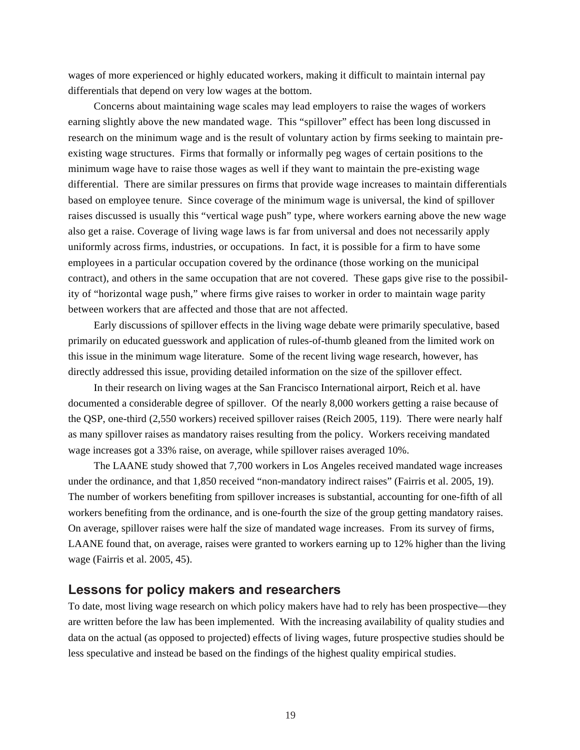wages of more experienced or highly educated workers, making it difficult to maintain internal pay differentials that depend on very low wages at the bottom.

Concerns about maintaining wage scales may lead employers to raise the wages of workers earning slightly above the new mandated wage. This "spillover" effect has been long discussed in research on the minimum wage and is the result of voluntary action by firms seeking to maintain preexisting wage structures. Firms that formally or informally peg wages of certain positions to the minimum wage have to raise those wages as well if they want to maintain the pre-existing wage differential. There are similar pressures on firms that provide wage increases to maintain differentials based on employee tenure. Since coverage of the minimum wage is universal, the kind of spillover raises discussed is usually this "vertical wage push" type, where workers earning above the new wage also get a raise. Coverage of living wage laws is far from universal and does not necessarily apply uniformly across firms, industries, or occupations. In fact, it is possible for a firm to have some employees in a particular occupation covered by the ordinance (those working on the municipal contract), and others in the same occupation that are not covered. These gaps give rise to the possibility of "horizontal wage push," where firms give raises to worker in order to maintain wage parity between workers that are affected and those that are not affected.

Early discussions of spillover effects in the living wage debate were primarily speculative, based primarily on educated guesswork and application of rules-of-thumb gleaned from the limited work on this issue in the minimum wage literature. Some of the recent living wage research, however, has directly addressed this issue, providing detailed information on the size of the spillover effect.

In their research on living wages at the San Francisco International airport, Reich et al. have documented a considerable degree of spillover. Of the nearly 8,000 workers getting a raise because of the QSP, one-third (2,550 workers) received spillover raises (Reich 2005, 119). There were nearly half as many spillover raises as mandatory raises resulting from the policy. Workers receiving mandated wage increases got a 33% raise, on average, while spillover raises averaged 10%.

The LAANE study showed that 7,700 workers in Los Angeles received mandated wage increases under the ordinance, and that 1,850 received "non-mandatory indirect raises" (Fairris et al. 2005, 19). The number of workers benefiting from spillover increases is substantial, accounting for one-fifth of all workers benefiting from the ordinance, and is one-fourth the size of the group getting mandatory raises. On average, spillover raises were half the size of mandated wage increases. From its survey of firms, LAANE found that, on average, raises were granted to workers earning up to 12% higher than the living wage (Fairris et al. 2005, 45).

## **Lessons for policy makers and researchers**

To date, most living wage research on which policy makers have had to rely has been prospective—they are written before the law has been implemented. With the increasing availability of quality studies and data on the actual (as opposed to projected) effects of living wages, future prospective studies should be less speculative and instead be based on the findings of the highest quality empirical studies.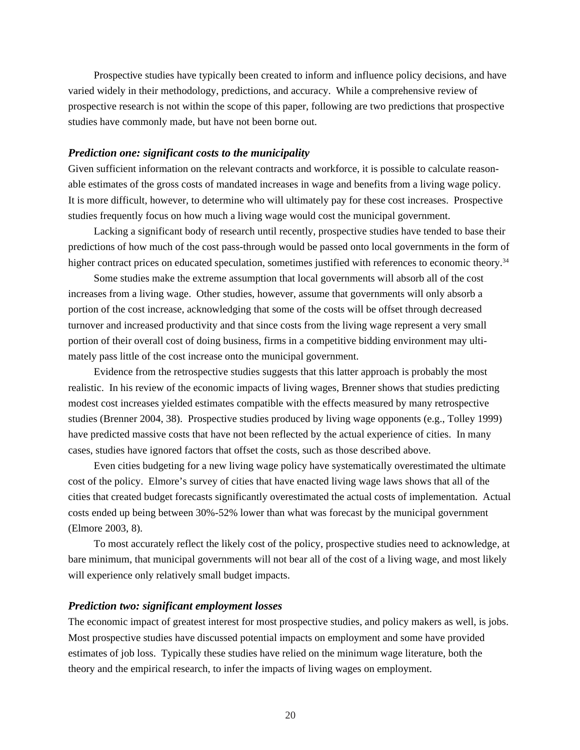Prospective studies have typically been created to inform and influence policy decisions, and have varied widely in their methodology, predictions, and accuracy. While a comprehensive review of prospective research is not within the scope of this paper, following are two predictions that prospective studies have commonly made, but have not been borne out.

#### *Prediction one: significant costs to the municipality*

Given sufficient information on the relevant contracts and workforce, it is possible to calculate reasonable estimates of the gross costs of mandated increases in wage and benefits from a living wage policy. It is more difficult, however, to determine who will ultimately pay for these cost increases. Prospective studies frequently focus on how much a living wage would cost the municipal government.

Lacking a significant body of research until recently, prospective studies have tended to base their predictions of how much of the cost pass-through would be passed onto local governments in the form of higher contract prices on educated speculation, sometimes justified with references to economic theory.<sup>34</sup>

Some studies make the extreme assumption that local governments will absorb all of the cost increases from a living wage. Other studies, however, assume that governments will only absorb a portion of the cost increase, acknowledging that some of the costs will be offset through decreased turnover and increased productivity and that since costs from the living wage represent a very small portion of their overall cost of doing business, firms in a competitive bidding environment may ultimately pass little of the cost increase onto the municipal government.

Evidence from the retrospective studies suggests that this latter approach is probably the most realistic. In his review of the economic impacts of living wages, Brenner shows that studies predicting modest cost increases yielded estimates compatible with the effects measured by many retrospective studies (Brenner 2004, 38). Prospective studies produced by living wage opponents (e.g., Tolley 1999) have predicted massive costs that have not been reflected by the actual experience of cities. In many cases, studies have ignored factors that offset the costs, such as those described above.

Even cities budgeting for a new living wage policy have systematically overestimated the ultimate cost of the policy. Elmore's survey of cities that have enacted living wage laws shows that all of the cities that created budget forecasts significantly overestimated the actual costs of implementation. Actual costs ended up being between 30%-52% lower than what was forecast by the municipal government (Elmore 2003, 8).

To most accurately reflect the likely cost of the policy, prospective studies need to acknowledge, at bare minimum, that municipal governments will not bear all of the cost of a living wage, and most likely will experience only relatively small budget impacts.

#### *Prediction two: significant employment losses*

The economic impact of greatest interest for most prospective studies, and policy makers as well, is jobs. Most prospective studies have discussed potential impacts on employment and some have provided estimates of job loss. Typically these studies have relied on the minimum wage literature, both the theory and the empirical research, to infer the impacts of living wages on employment.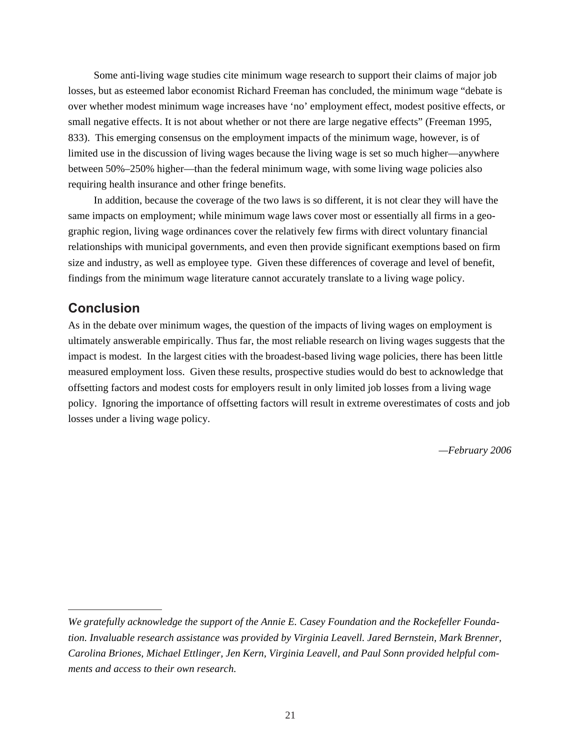Some anti-living wage studies cite minimum wage research to support their claims of major job losses, but as esteemed labor economist Richard Freeman has concluded, the minimum wage "debate is over whether modest minimum wage increases have 'no' employment effect, modest positive effects, or small negative effects. It is not about whether or not there are large negative effects" (Freeman 1995, 833). This emerging consensus on the employment impacts of the minimum wage, however, is of limited use in the discussion of living wages because the living wage is set so much higher—anywhere between 50%–250% higher—than the federal minimum wage, with some living wage policies also requiring health insurance and other fringe benefits.

In addition, because the coverage of the two laws is so different, it is not clear they will have the same impacts on employment; while minimum wage laws cover most or essentially all firms in a geographic region, living wage ordinances cover the relatively few firms with direct voluntary financial relationships with municipal governments, and even then provide significant exemptions based on firm size and industry, as well as employee type. Given these differences of coverage and level of benefit, findings from the minimum wage literature cannot accurately translate to a living wage policy.

## **Conclusion**

As in the debate over minimum wages, the question of the impacts of living wages on employment is ultimately answerable empirically. Thus far, the most reliable research on living wages suggests that the impact is modest. In the largest cities with the broadest-based living wage policies, there has been little measured employment loss. Given these results, prospective studies would do best to acknowledge that offsetting factors and modest costs for employers result in only limited job losses from a living wage policy. Ignoring the importance of offsetting factors will result in extreme overestimates of costs and job losses under a living wage policy.

*—February 2006*

*We gratefully acknowledge the support of the Annie E. Casey Foundation and the Rockefeller Foundation. Invaluable research assistance was provided by Virginia Leavell. Jared Bernstein, Mark Brenner, Carolina Briones, Michael Ettlinger, Jen Kern, Virginia Leavell, and Paul Sonn provided helpful comments and access to their own research.*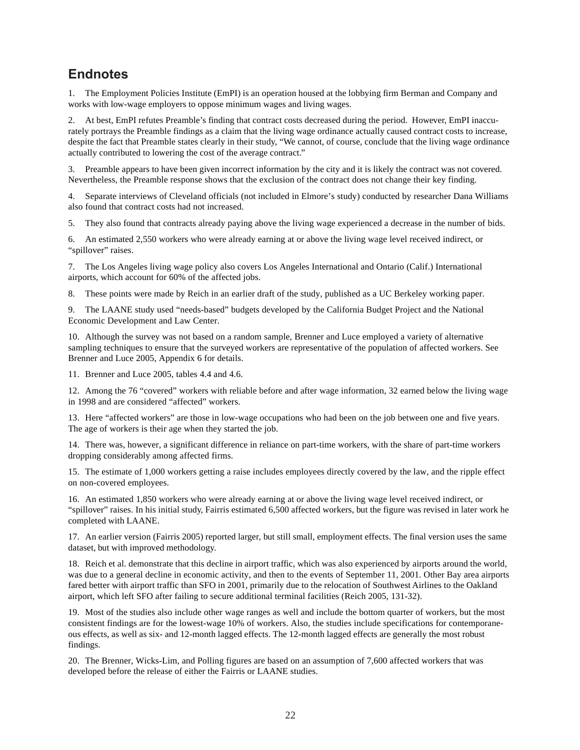# **Endnotes**

1. The Employment Policies Institute (EmPI) is an operation housed at the lobbying firm Berman and Company and works with low-wage employers to oppose minimum wages and living wages.

2. At best, EmPI refutes Preamble's finding that contract costs decreased during the period. However, EmPI inaccurately portrays the Preamble findings as a claim that the living wage ordinance actually caused contract costs to increase, despite the fact that Preamble states clearly in their study, "We cannot, of course, conclude that the living wage ordinance actually contributed to lowering the cost of the average contract."

3. Preamble appears to have been given incorrect information by the city and it is likely the contract was not covered. Nevertheless, the Preamble response shows that the exclusion of the contract does not change their key finding.

4. Separate interviews of Cleveland officials (not included in Elmore's study) conducted by researcher Dana Williams also found that contract costs had not increased.

5. They also found that contracts already paying above the living wage experienced a decrease in the number of bids.

6. An estimated 2,550 workers who were already earning at or above the living wage level received indirect, or "spillover" raises.

7. The Los Angeles living wage policy also covers Los Angeles International and Ontario (Calif.) International airports, which account for 60% of the affected jobs.

8. These points were made by Reich in an earlier draft of the study, published as a UC Berkeley working paper.

9. The LAANE study used "needs-based" budgets developed by the California Budget Project and the National Economic Development and Law Center.

10. Although the survey was not based on a random sample, Brenner and Luce employed a variety of alternative sampling techniques to ensure that the surveyed workers are representative of the population of affected workers. See Brenner and Luce 2005, Appendix 6 for details.

11. Brenner and Luce 2005, tables 4.4 and 4.6.

12. Among the 76 "covered" workers with reliable before and after wage information, 32 earned below the living wage in 1998 and are considered "affected" workers.

13. Here "affected workers" are those in low-wage occupations who had been on the job between one and five years. The age of workers is their age when they started the job.

14. There was, however, a significant difference in reliance on part-time workers, with the share of part-time workers dropping considerably among affected firms.

15. The estimate of 1,000 workers getting a raise includes employees directly covered by the law, and the ripple effect on non-covered employees.

16. An estimated 1,850 workers who were already earning at or above the living wage level received indirect, or "spillover" raises. In his initial study, Fairris estimated 6,500 affected workers, but the figure was revised in later work he completed with LAANE.

17. An earlier version (Fairris 2005) reported larger, but still small, employment effects. The final version uses the same dataset, but with improved methodology.

18. Reich et al. demonstrate that this decline in airport traffic, which was also experienced by airports around the world, was due to a general decline in economic activity, and then to the events of September 11, 2001. Other Bay area airports fared better with airport traffic than SFO in 2001, primarily due to the relocation of Southwest Airlines to the Oakland airport, which left SFO after failing to secure additional terminal facilities (Reich 2005, 131-32).

19. Most of the studies also include other wage ranges as well and include the bottom quarter of workers, but the most consistent findings are for the lowest-wage 10% of workers. Also, the studies include specifications for contemporaneous effects, as well as six- and 12-month lagged effects. The 12-month lagged effects are generally the most robust findings.

20. The Brenner, Wicks-Lim, and Polling figures are based on an assumption of 7,600 affected workers that was developed before the release of either the Fairris or LAANE studies.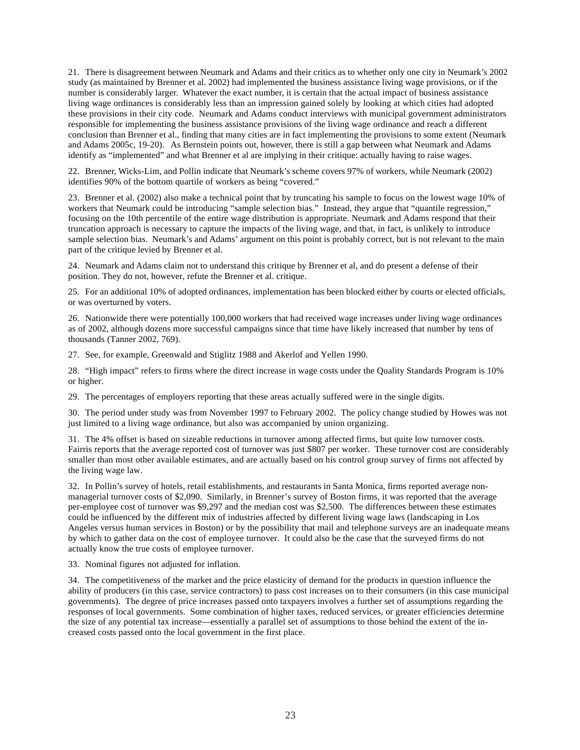21. There is disagreement between Neumark and Adams and their critics as to whether only one city in Neumark's 2002 study (as maintained by Brenner et al. 2002) had implemented the business assistance living wage provisions, or if the number is considerably larger. Whatever the exact number, it is certain that the actual impact of business assistance living wage ordinances is considerably less than an impression gained solely by looking at which cities had adopted these provisions in their city code. Neumark and Adams conduct interviews with municipal government administrators responsible for implementing the business assistance provisions of the living wage ordinance and reach a different conclusion than Brenner et al., finding that many cities are in fact implementing the provisions to some extent (Neumark and Adams 2005c, 19-20). As Bernstein points out, however, there is still a gap between what Neumark and Adams identify as "implemented" and what Brenner et al are implying in their critique: actually having to raise wages.

22. Brenner, Wicks-Lim, and Pollin indicate that Neumark's scheme covers 97% of workers, while Neumark (2002) identifies 90% of the bottom quartile of workers as being "covered."

23. Brenner et al. (2002) also make a technical point that by truncating his sample to focus on the lowest wage 10% of workers that Neumark could be introducing "sample selection bias." Instead, they argue that "quantile regression," focusing on the 10th percentile of the entire wage distribution is appropriate. Neumark and Adams respond that their truncation approach is necessary to capture the impacts of the living wage, and that, in fact, is unlikely to introduce sample selection bias. Neumark's and Adams' argument on this point is probably correct, but is not relevant to the main part of the critique levied by Brenner et al.

24. Neumark and Adams claim not to understand this critique by Brenner et al, and do present a defense of their position. They do not, however, refute the Brenner et al. critique.

25. For an additional 10% of adopted ordinances, implementation has been blocked either by courts or elected officials, or was overturned by voters.

26. Nationwide there were potentially 100,000 workers that had received wage increases under living wage ordinances as of 2002, although dozens more successful campaigns since that time have likely increased that number by tens of thousands (Tanner 2002, 769).

27. See, for example, Greenwald and Stiglitz 1988 and Akerlof and Yellen 1990.

28. "High impact" refers to firms where the direct increase in wage costs under the Quality Standards Program is 10% or higher.

29. The percentages of employers reporting that these areas actually suffered were in the single digits.

30. The period under study was from November 1997 to February 2002. The policy change studied by Howes was not just limited to a living wage ordinance, but also was accompanied by union organizing.

31. The 4% offset is based on sizeable reductions in turnover among affected firms, but quite low turnover costs. Fairris reports that the average reported cost of turnover was just \$807 per worker. These turnover cost are considerably smaller than most other available estimates, and are actually based on his control group survey of firms not affected by the living wage law.

32. In Pollin's survey of hotels, retail establishments, and restaurants in Santa Monica, firms reported average nonmanagerial turnover costs of \$2,090. Similarly, in Brenner's survey of Boston firms, it was reported that the average per-employee cost of turnover was \$9,297 and the median cost was \$2,500. The differences between these estimates could be influenced by the different mix of industries affected by different living wage laws (landscaping in Los Angeles versus human services in Boston) or by the possibility that mail and telephone surveys are an inadequate means by which to gather data on the cost of employee turnover. It could also be the case that the surveyed firms do not actually know the true costs of employee turnover.

33. Nominal figures not adjusted for inflation.

34. The competitiveness of the market and the price elasticity of demand for the products in question influence the ability of producers (in this case, service contractors) to pass cost increases on to their consumers (in this case municipal governments). The degree of price increases passed onto taxpayers involves a further set of assumptions regarding the responses of local governments. Some combination of higher taxes, reduced services, or greater efficiencies determine the size of any potential tax increase—essentially a parallel set of assumptions to those behind the extent of the increased costs passed onto the local government in the first place.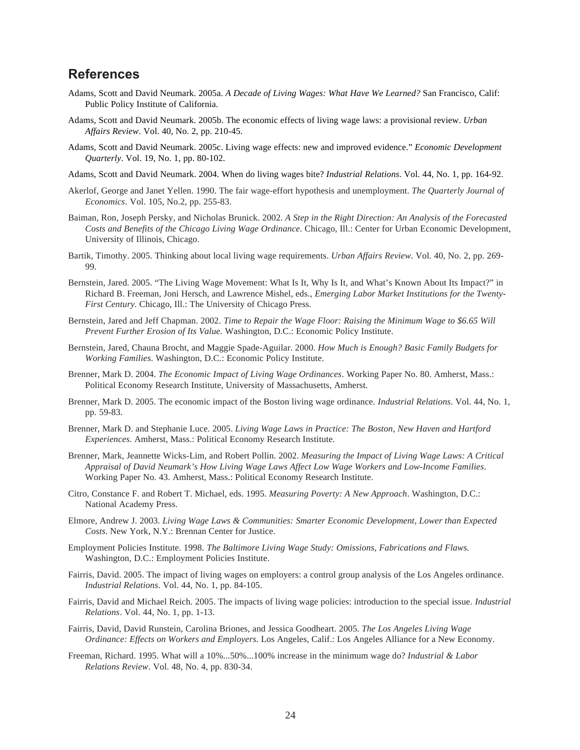# **References**

- Adams, Scott and David Neumark. 2005a. *A Decade of Living Wages: What Have We Learned?* San Francisco, Calif: Public Policy Institute of California.
- Adams, Scott and David Neumark. 2005b. The economic effects of living wage laws: a provisional review. *Urban Affairs Review*. Vol. 40, No. 2, pp. 210-45.
- Adams, Scott and David Neumark. 2005c. Living wage effects: new and improved evidence." *Economic Development Quarterly*. Vol. 19, No. 1, pp. 80-102.
- Adams, Scott and David Neumark. 2004. When do living wages bite? *Industrial Relations*. Vol. 44, No. 1, pp. 164-92.
- Akerlof, George and Janet Yellen. 1990. The fair wage-effort hypothesis and unemployment. *The Quarterly Journal of Economics*. Vol. 105, No.2, pp. 255-83.
- Baiman, Ron, Joseph Persky, and Nicholas Brunick. 2002. *A Step in the Right Direction: An Analysis of the Forecasted Costs and Benefits of the Chicago Living Wage Ordinance*. Chicago, Ill.: Center for Urban Economic Development, University of Illinois, Chicago.
- Bartik, Timothy. 2005. Thinking about local living wage requirements. *Urban Affairs Review*. Vol. 40, No. 2, pp. 269- 99.
- Bernstein, Jared. 2005. "The Living Wage Movement: What Is It, Why Is It, and What's Known About Its Impact?" in Richard B. Freeman, Joni Hersch, and Lawrence Mishel, eds., *Emerging Labor Market Institutions for the Twenty-First Century.* Chicago, Ill.: The University of Chicago Press.
- Bernstein, Jared and Jeff Chapman. 2002. *Time to Repair the Wage Floor: Raising the Minimum Wage to \$6.65 Will Prevent Further Erosion of Its Value.* Washington, D.C.: Economic Policy Institute.
- Bernstein, Jared, Chauna Brocht, and Maggie Spade-Aguilar. 2000. *How Much is Enough? Basic Family Budgets for Working Families*. Washington, D.C.: Economic Policy Institute.
- Brenner, Mark D. 2004. *The Economic Impact of Living Wage Ordinances*. Working Paper No. 80. Amherst, Mass.: Political Economy Research Institute, University of Massachusetts, Amherst.
- Brenner, Mark D. 2005. The economic impact of the Boston living wage ordinance. *Industrial Relations*. Vol. 44, No. 1, pp. 59-83.
- Brenner, Mark D. and Stephanie Luce. 2005. *Living Wage Laws in Practice: The Boston, New Haven and Hartford Experiences.* Amherst, Mass.: Political Economy Research Institute.
- Brenner, Mark, Jeannette Wicks-Lim, and Robert Pollin. 2002. *Measuring the Impact of Living Wage Laws: A Critical Appraisal of David Neumark's How Living Wage Laws Affect Low Wage Workers and Low-Income Families*. Working Paper No. 43. Amherst, Mass.: Political Economy Research Institute.
- Citro, Constance F. and Robert T. Michael, eds. 1995. *Measuring Poverty: A New Approach*. Washington, D.C.: National Academy Press.
- Elmore, Andrew J. 2003. *Living Wage Laws & Communities: Smarter Economic Development, Lower than Expected Costs*. New York, N.Y.: Brennan Center for Justice.
- Employment Policies Institute. 1998. *The Baltimore Living Wage Study: Omissions, Fabrications and Flaws.* Washington, D.C.: Employment Policies Institute.
- Fairris, David. 2005. The impact of living wages on employers: a control group analysis of the Los Angeles ordinance. *Industrial Relations*. Vol. 44, No. 1, pp. 84-105.
- Fairris, David and Michael Reich. 2005. The impacts of living wage policies: introduction to the special issue. *Industrial Relations*. Vol. 44, No. 1, pp. 1-13.
- Fairris, David, David Runstein, Carolina Briones, and Jessica Goodheart. 2005. *The Los Angeles Living Wage Ordinance: Effects on Workers and Employers*. Los Angeles, Calif.: Los Angeles Alliance for a New Economy.
- Freeman, Richard. 1995. What will a 10%...50%...100% increase in the minimum wage do? *Industrial & Labor Relations Review*. Vol. 48, No. 4, pp. 830-34.